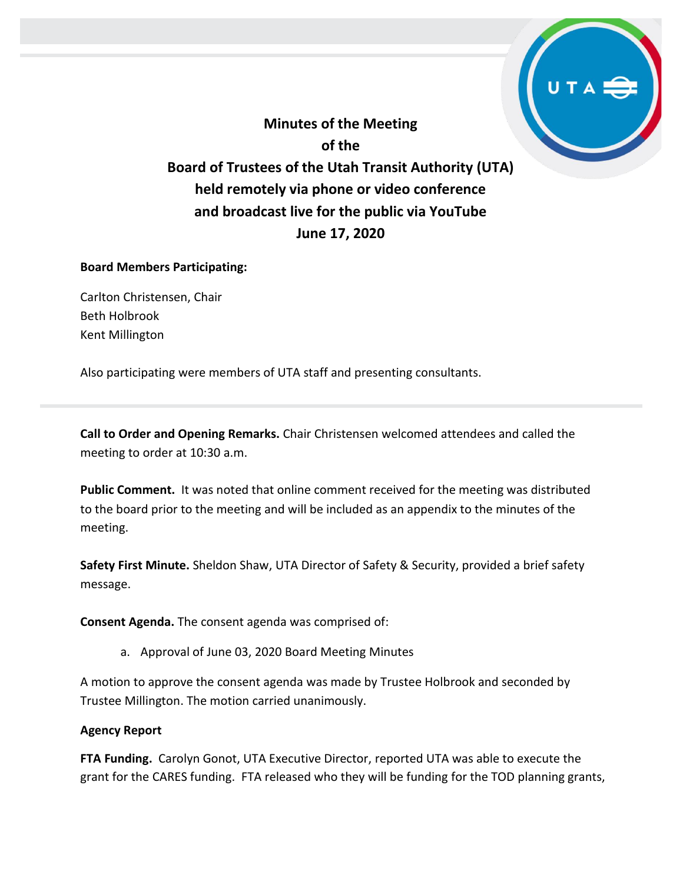**Minutes of the Meeting of the Board of Trustees of the Utah Transit Authority (UTA) held remotely via phone or video conference and broadcast live for the public via YouTube June 17, 2020**

#### **Board Members Participating:**

Carlton Christensen, Chair Beth Holbrook Kent Millington

Also participating were members of UTA staff and presenting consultants.

**Call to Order and Opening Remarks.** Chair Christensen welcomed attendees and called the meeting to order at 10:30 a.m.

**Public Comment.** It was noted that online comment received for the meeting was distributed to the board prior to the meeting and will be included as an appendix to the minutes of the meeting.

**Safety First Minute.** Sheldon Shaw, UTA Director of Safety & Security, provided a brief safety message.

**Consent Agenda.** The consent agenda was comprised of:

a. Approval of June 03, 2020 Board Meeting Minutes

A motion to approve the consent agenda was made by Trustee Holbrook and seconded by Trustee Millington. The motion carried unanimously.

#### **Agency Report**

**FTA Funding.** Carolyn Gonot, UTA Executive Director, reported UTA was able to execute the grant for the CARES funding. FTA released who they will be funding for the TOD planning grants,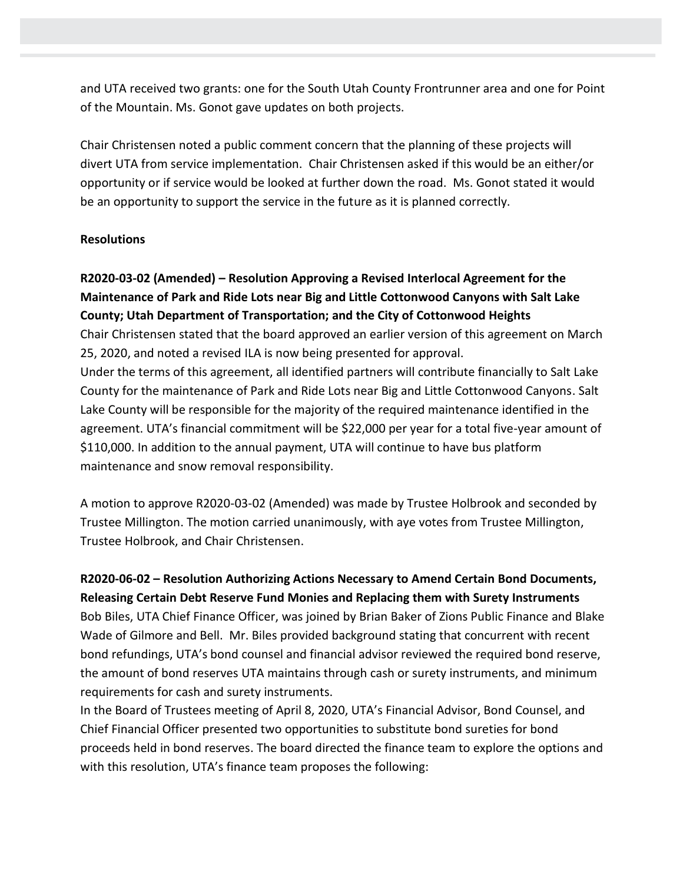and UTA received two grants: one for the South Utah County Frontrunner area and one for Point of the Mountain. Ms. Gonot gave updates on both projects.

Chair Christensen noted a public comment concern that the planning of these projects will divert UTA from service implementation. Chair Christensen asked if this would be an either/or opportunity or if service would be looked at further down the road. Ms. Gonot stated it would be an opportunity to support the service in the future as it is planned correctly.

#### **Resolutions**

## **R2020-03-02 (Amended) – Resolution Approving a Revised Interlocal Agreement for the Maintenance of Park and Ride Lots near Big and Little Cottonwood Canyons with Salt Lake County; Utah Department of Transportation; and the City of Cottonwood Heights**

Chair Christensen stated that the board approved an earlier version of this agreement on March 25, 2020, and noted a revised ILA is now being presented for approval.

Under the terms of this agreement, all identified partners will contribute financially to Salt Lake County for the maintenance of Park and Ride Lots near Big and Little Cottonwood Canyons. Salt Lake County will be responsible for the majority of the required maintenance identified in the agreement. UTA's financial commitment will be \$22,000 per year for a total five-year amount of \$110,000. In addition to the annual payment, UTA will continue to have bus platform maintenance and snow removal responsibility.

A motion to approve R2020-03-02 (Amended) was made by Trustee Holbrook and seconded by Trustee Millington. The motion carried unanimously, with aye votes from Trustee Millington, Trustee Holbrook, and Chair Christensen.

### **R2020-06-02 – Resolution Authorizing Actions Necessary to Amend Certain Bond Documents, Releasing Certain Debt Reserve Fund Monies and Replacing them with Surety Instruments**

Bob Biles, UTA Chief Finance Officer, was joined by Brian Baker of Zions Public Finance and Blake Wade of Gilmore and Bell. Mr. Biles provided background stating that concurrent with recent bond refundings, UTA's bond counsel and financial advisor reviewed the required bond reserve, the amount of bond reserves UTA maintains through cash or surety instruments, and minimum requirements for cash and surety instruments.

In the Board of Trustees meeting of April 8, 2020, UTA's Financial Advisor, Bond Counsel, and Chief Financial Officer presented two opportunities to substitute bond sureties for bond proceeds held in bond reserves. The board directed the finance team to explore the options and with this resolution, UTA's finance team proposes the following: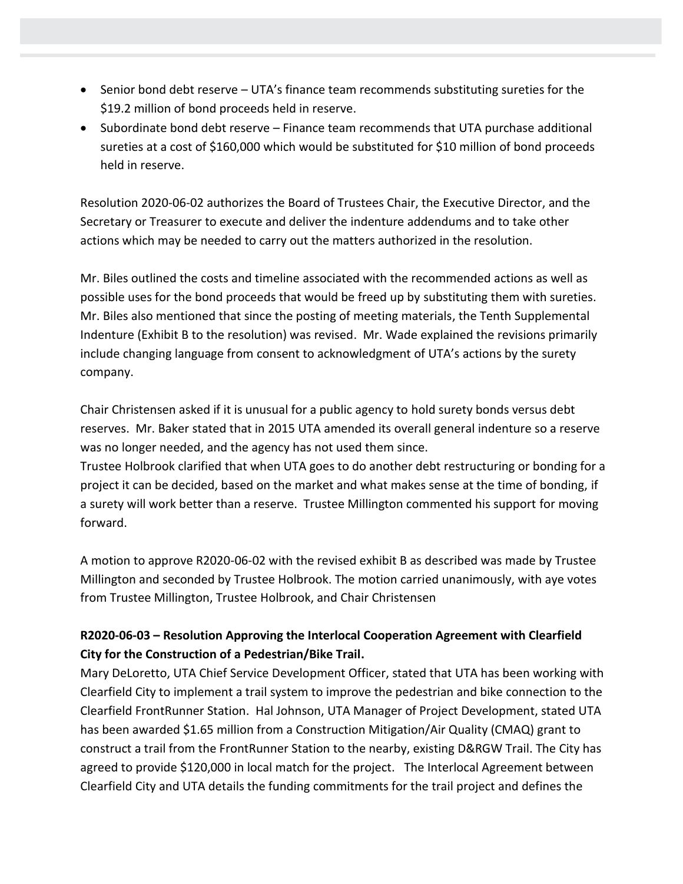- Senior bond debt reserve UTA's finance team recommends substituting sureties for the \$19.2 million of bond proceeds held in reserve.
- Subordinate bond debt reserve Finance team recommends that UTA purchase additional sureties at a cost of \$160,000 which would be substituted for \$10 million of bond proceeds held in reserve.

Resolution 2020-06-02 authorizes the Board of Trustees Chair, the Executive Director, and the Secretary or Treasurer to execute and deliver the indenture addendums and to take other actions which may be needed to carry out the matters authorized in the resolution.

Mr. Biles outlined the costs and timeline associated with the recommended actions as well as possible uses for the bond proceeds that would be freed up by substituting them with sureties. Mr. Biles also mentioned that since the posting of meeting materials, the Tenth Supplemental Indenture (Exhibit B to the resolution) was revised. Mr. Wade explained the revisions primarily include changing language from consent to acknowledgment of UTA's actions by the surety company.

Chair Christensen asked if it is unusual for a public agency to hold surety bonds versus debt reserves. Mr. Baker stated that in 2015 UTA amended its overall general indenture so a reserve was no longer needed, and the agency has not used them since.

Trustee Holbrook clarified that when UTA goes to do another debt restructuring or bonding for a project it can be decided, based on the market and what makes sense at the time of bonding, if a surety will work better than a reserve. Trustee Millington commented his support for moving forward.

A motion to approve R2020-06-02 with the revised exhibit B as described was made by Trustee Millington and seconded by Trustee Holbrook. The motion carried unanimously, with aye votes from Trustee Millington, Trustee Holbrook, and Chair Christensen

## **R2020-06-03 – Resolution Approving the Interlocal Cooperation Agreement with Clearfield City for the Construction of a Pedestrian/Bike Trail.**

Mary DeLoretto, UTA Chief Service Development Officer, stated that UTA has been working with Clearfield City to implement a trail system to improve the pedestrian and bike connection to the Clearfield FrontRunner Station. Hal Johnson, UTA Manager of Project Development, stated UTA has been awarded \$1.65 million from a Construction Mitigation/Air Quality (CMAQ) grant to construct a trail from the FrontRunner Station to the nearby, existing D&RGW Trail. The City has agreed to provide \$120,000 in local match for the project. The Interlocal Agreement between Clearfield City and UTA details the funding commitments for the trail project and defines the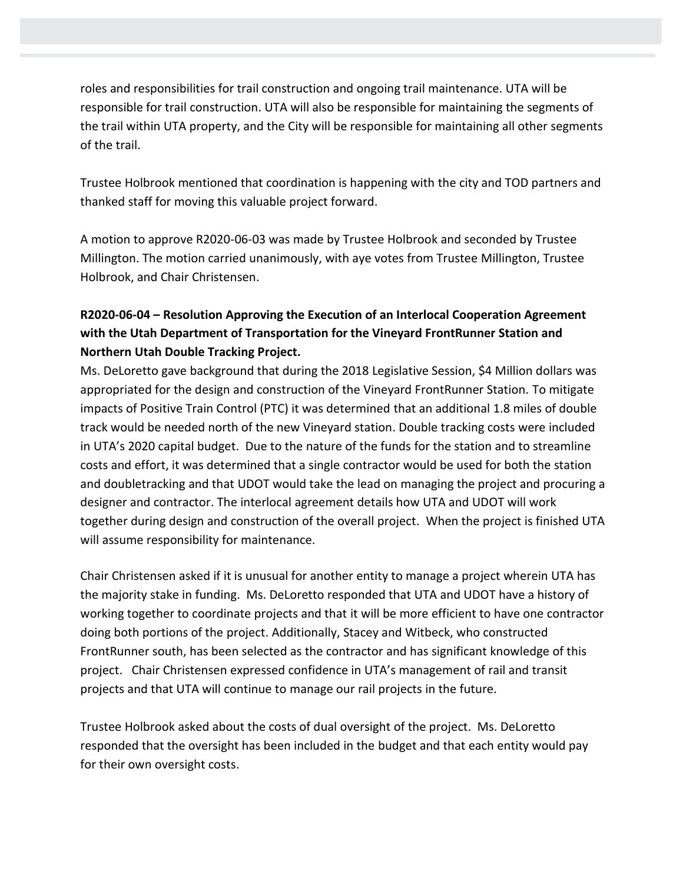roles and responsibilities for trail construction and ongoing trail maintenance. UTA will be responsible for trail construction. UTA will also be responsible for maintaining the segments of the trail within UTA property, and the City will be responsible for maintaining all other segments of the trail.

Trustee Holbrook mentioned that coordination is happening with the city and TOD partners and thanked staff for moving this valuable project forward.

A motion to approve R2020-06-03 was made by Trustee Holbrook and seconded by Trustee Millington. The motion carried unanimously, with aye votes from Trustee Millington, Trustee Holbrook, and Chair Christensen.

## **R2020-06-04 – Resolution Approving the Execution of an Interlocal Cooperation Agreement with the Utah Department of Transportation for the Vineyard FrontRunner Station and Northern Utah Double Tracking Project.**

Ms. DeLoretto gave background that during the 2018 Legislative Session, \$4 Million dollars was appropriated for the design and construction of the Vineyard FrontRunner Station. To mitigate impacts of Positive Train Control (PTC) it was determined that an additional 1.8 miles of double track would be needed north of the new Vineyard station. Double tracking costs were included in UTA's 2020 capital budget. Due to the nature of the funds for the station and to streamline costs and effort, it was determined that a single contractor would be used for both the station and doubletracking and that UDOT would take the lead on managing the project and procuring a designer and contractor. The interlocal agreement details how UTA and UDOT will work together during design and construction of the overall project. When the project is finished UTA will assume responsibility for maintenance.

Chair Christensen asked if it is unusual for another entity to manage a project wherein UTA has the majority stake in funding. Ms. DeLoretto responded that UTA and UDOT have a history of working together to coordinate projects and that it will be more efficient to have one contractor doing both portions of the project. Additionally, Stacey and Witbeck, who constructed FrontRunner south, has been selected as the contractor and has significant knowledge of this project. Chair Christensen expressed confidence in UTA's management of rail and transit projects and that UTA will continue to manage our rail projects in the future.

Trustee Holbrook asked about the costs of dual oversight of the project. Ms. DeLoretto responded that the oversight has been included in the budget and that each entity would pay for their own oversight costs.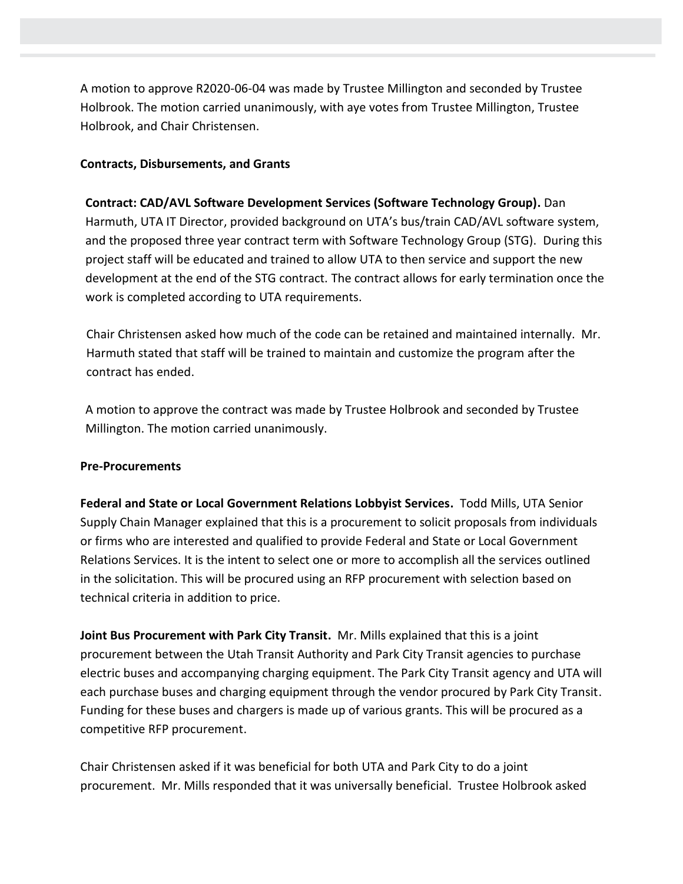A motion to approve R2020-06-04 was made by Trustee Millington and seconded by Trustee Holbrook. The motion carried unanimously, with aye votes from Trustee Millington, Trustee Holbrook, and Chair Christensen.

#### **Contracts, Disbursements, and Grants**

**Contract: CAD/AVL Software Development Services (Software Technology Group).** Dan Harmuth, UTA IT Director, provided background on UTA's bus/train CAD/AVL software system, and the proposed three year contract term with Software Technology Group (STG). During this project staff will be educated and trained to allow UTA to then service and support the new development at the end of the STG contract. The contract allows for early termination once the work is completed according to UTA requirements.

Chair Christensen asked how much of the code can be retained and maintained internally. Mr. Harmuth stated that staff will be trained to maintain and customize the program after the contract has ended.

A motion to approve the contract was made by Trustee Holbrook and seconded by Trustee Millington. The motion carried unanimously.

#### **Pre-Procurements**

**Federal and State or Local Government Relations Lobbyist Services.** Todd Mills, UTA Senior Supply Chain Manager explained that this is a procurement to solicit proposals from individuals or firms who are interested and qualified to provide Federal and State or Local Government Relations Services. It is the intent to select one or more to accomplish all the services outlined in the solicitation. This will be procured using an RFP procurement with selection based on technical criteria in addition to price.

**Joint Bus Procurement with Park City Transit.** Mr. Mills explained that this is a joint procurement between the Utah Transit Authority and Park City Transit agencies to purchase electric buses and accompanying charging equipment. The Park City Transit agency and UTA will each purchase buses and charging equipment through the vendor procured by Park City Transit. Funding for these buses and chargers is made up of various grants. This will be procured as a competitive RFP procurement.

Chair Christensen asked if it was beneficial for both UTA and Park City to do a joint procurement. Mr. Mills responded that it was universally beneficial. Trustee Holbrook asked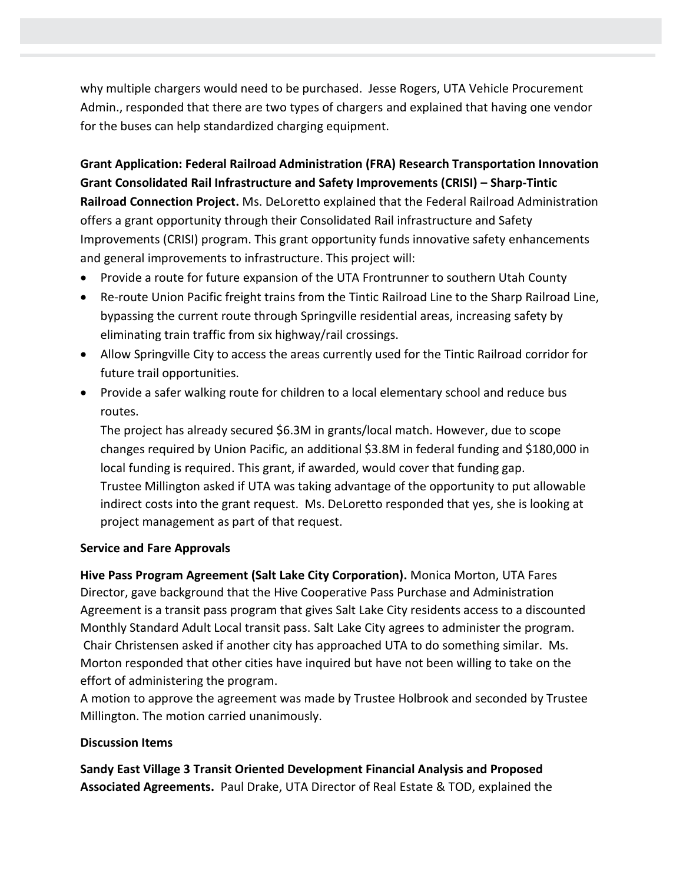why multiple chargers would need to be purchased. Jesse Rogers, UTA Vehicle Procurement Admin., responded that there are two types of chargers and explained that having one vendor for the buses can help standardized charging equipment.

**Grant Application: Federal Railroad Administration (FRA) Research Transportation Innovation Grant Consolidated Rail Infrastructure and Safety Improvements (CRISI) – Sharp-Tintic Railroad Connection Project.** Ms. DeLoretto explained that the Federal Railroad Administration offers a grant opportunity through their Consolidated Rail infrastructure and Safety Improvements (CRISI) program. This grant opportunity funds innovative safety enhancements and general improvements to infrastructure. This project will:

- Provide a route for future expansion of the UTA Frontrunner to southern Utah County
- Re-route Union Pacific freight trains from the Tintic Railroad Line to the Sharp Railroad Line, bypassing the current route through Springville residential areas, increasing safety by eliminating train traffic from six highway/rail crossings.
- Allow Springville City to access the areas currently used for the Tintic Railroad corridor for future trail opportunities.
- Provide a safer walking route for children to a local elementary school and reduce bus routes.

The project has already secured \$6.3M in grants/local match. However, due to scope changes required by Union Pacific, an additional \$3.8M in federal funding and \$180,000 in local funding is required. This grant, if awarded, would cover that funding gap. Trustee Millington asked if UTA was taking advantage of the opportunity to put allowable indirect costs into the grant request. Ms. DeLoretto responded that yes, she is looking at project management as part of that request.

### **Service and Fare Approvals**

**Hive Pass Program Agreement (Salt Lake City Corporation).** Monica Morton, UTA Fares Director, gave background that the Hive Cooperative Pass Purchase and Administration Agreement is a transit pass program that gives Salt Lake City residents access to a discounted Monthly Standard Adult Local transit pass. Salt Lake City agrees to administer the program. Chair Christensen asked if another city has approached UTA to do something similar. Ms. Morton responded that other cities have inquired but have not been willing to take on the effort of administering the program.

A motion to approve the agreement was made by Trustee Holbrook and seconded by Trustee Millington. The motion carried unanimously.

### **Discussion Items**

**Sandy East Village 3 Transit Oriented Development Financial Analysis and Proposed Associated Agreements.** Paul Drake, UTA Director of Real Estate & TOD, explained the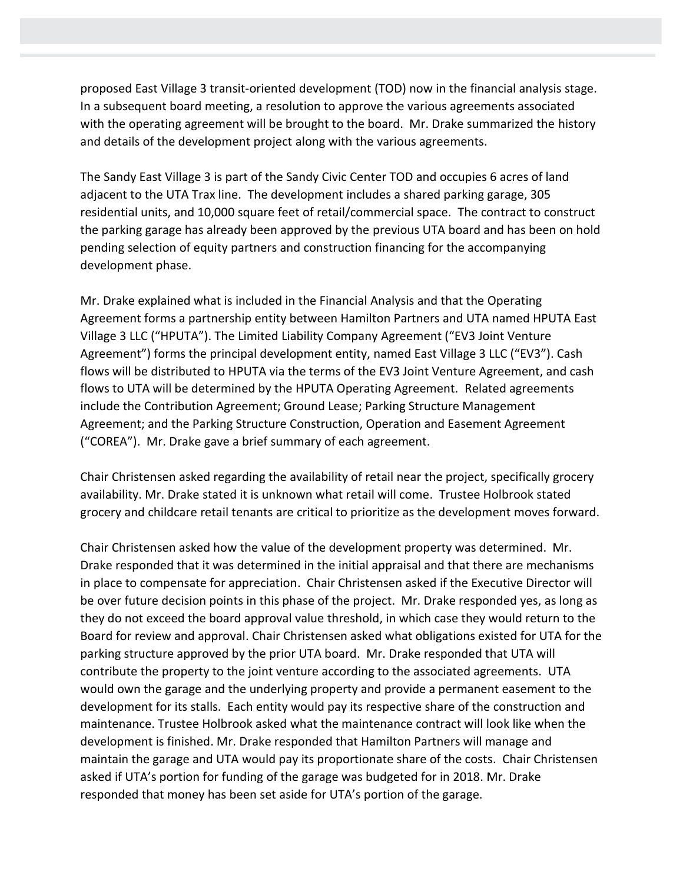proposed East Village 3 transit-oriented development (TOD) now in the financial analysis stage. In a subsequent board meeting, a resolution to approve the various agreements associated with the operating agreement will be brought to the board. Mr. Drake summarized the history and details of the development project along with the various agreements.

The Sandy East Village 3 is part of the Sandy Civic Center TOD and occupies 6 acres of land adjacent to the UTA Trax line. The development includes a shared parking garage, 305 residential units, and 10,000 square feet of retail/commercial space. The contract to construct the parking garage has already been approved by the previous UTA board and has been on hold pending selection of equity partners and construction financing for the accompanying development phase.

Mr. Drake explained what is included in the Financial Analysis and that the Operating Agreement forms a partnership entity between Hamilton Partners and UTA named HPUTA East Village 3 LLC ("HPUTA"). The Limited Liability Company Agreement ("EV3 Joint Venture Agreement") forms the principal development entity, named East Village 3 LLC ("EV3"). Cash flows will be distributed to HPUTA via the terms of the EV3 Joint Venture Agreement, and cash flows to UTA will be determined by the HPUTA Operating Agreement. Related agreements include the Contribution Agreement; Ground Lease; Parking Structure Management Agreement; and the Parking Structure Construction, Operation and Easement Agreement ("COREA"). Mr. Drake gave a brief summary of each agreement.

Chair Christensen asked regarding the availability of retail near the project, specifically grocery availability. Mr. Drake stated it is unknown what retail will come. Trustee Holbrook stated grocery and childcare retail tenants are critical to prioritize as the development moves forward.

Chair Christensen asked how the value of the development property was determined. Mr. Drake responded that it was determined in the initial appraisal and that there are mechanisms in place to compensate for appreciation. Chair Christensen asked if the Executive Director will be over future decision points in this phase of the project. Mr. Drake responded yes, as long as they do not exceed the board approval value threshold, in which case they would return to the Board for review and approval. Chair Christensen asked what obligations existed for UTA for the parking structure approved by the prior UTA board. Mr. Drake responded that UTA will contribute the property to the joint venture according to the associated agreements. UTA would own the garage and the underlying property and provide a permanent easement to the development for its stalls. Each entity would pay its respective share of the construction and maintenance. Trustee Holbrook asked what the maintenance contract will look like when the development is finished. Mr. Drake responded that Hamilton Partners will manage and maintain the garage and UTA would pay its proportionate share of the costs. Chair Christensen asked if UTA's portion for funding of the garage was budgeted for in 2018. Mr. Drake responded that money has been set aside for UTA's portion of the garage.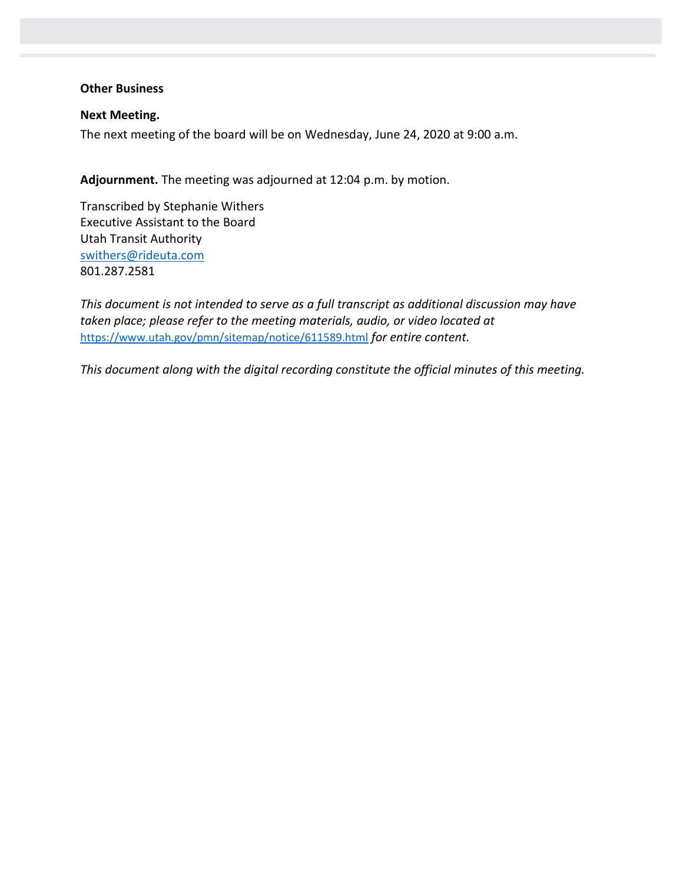#### **Other Business**

**Next Meeting.**  The next meeting of the board will be on Wednesday, June 24, 2020 at 9:00 a.m.

**Adjournment.** The meeting was adjourned at 12:04 p.m. by motion.

Transcribed by Stephanie Withers Executive Assistant to the Board Utah Transit Authority [swithers@rideuta.com](mailto:swithers@rideuta.com) 801.287.2581

*This document is not intended to serve as a full transcript as additional discussion may have taken place; please refer to the meeting materials, audio, or video located at* <https://www.utah.gov/pmn/sitemap/notice/611589.html> *for entire content.*

*This document along with the digital recording constitute the official minutes of this meeting.*